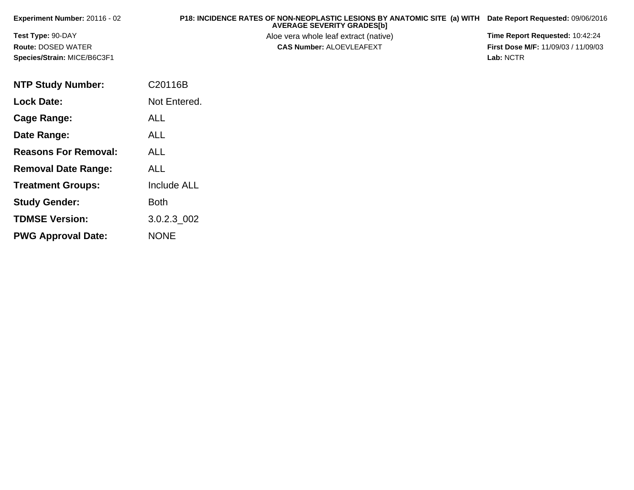| Experiment Number: $20116 - 02$ | P18: INCIDENCE RATES OF NON-NEOPLASTIC LESIONS BY ANATOMIC SITE (a) WITH<br><b>AVERAGE SEVERITY GRADES[b]</b> | Date Report Requested: 09/06/2016          |
|---------------------------------|---------------------------------------------------------------------------------------------------------------|--------------------------------------------|
| <b>Test Type: 90-DAY</b>        | Aloe vera whole leaf extract (native)                                                                         | <b>Time Report Requested: 10:42:24</b>     |
| <b>Route: DOSED WATER</b>       | <b>CAS Number: ALOEVLEAFEXT</b>                                                                               | <b>First Dose M/F: 11/09/03 / 11/09/03</b> |
| Species/Strain: MICE/B6C3F1     |                                                                                                               | Lab: NCTR                                  |

| <b>NTP Study Number:</b>    | C20116B            |
|-----------------------------|--------------------|
| <b>Lock Date:</b>           | Not Entered.       |
| Cage Range:                 | <b>ALL</b>         |
| Date Range:                 | ALL                |
| <b>Reasons For Removal:</b> | <b>ALL</b>         |
| <b>Removal Date Range:</b>  | ALL                |
| <b>Treatment Groups:</b>    | <b>Include ALL</b> |
| <b>Study Gender:</b>        | Both               |
| <b>TDMSE Version:</b>       | 3.0.2.3 002        |
| <b>PWG Approval Date:</b>   | <b>NONE</b>        |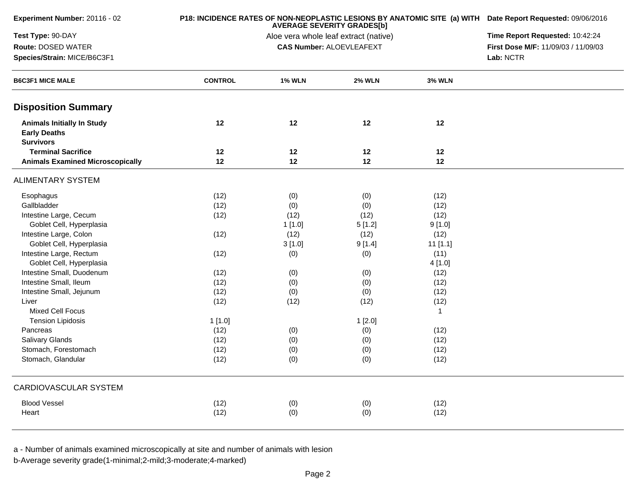| Experiment Number: 20116 - 02                                                |                | <b>AVERAGE SEVERITY GRADES[b]</b>     | P18: INCIDENCE RATES OF NON-NEOPLASTIC LESIONS BY ANATOMIC SITE (a) WITH Date Report Requested: 09/06/2016 |               |                                     |
|------------------------------------------------------------------------------|----------------|---------------------------------------|------------------------------------------------------------------------------------------------------------|---------------|-------------------------------------|
| Test Type: 90-DAY                                                            |                | Aloe vera whole leaf extract (native) | Time Report Requested: 10:42:24                                                                            |               |                                     |
| Route: DOSED WATER                                                           |                |                                       | <b>CAS Number: ALOEVLEAFEXT</b>                                                                            |               | First Dose M/F: 11/09/03 / 11/09/03 |
| Species/Strain: MICE/B6C3F1                                                  |                |                                       |                                                                                                            | Lab: NCTR     |                                     |
| <b>B6C3F1 MICE MALE</b>                                                      | <b>CONTROL</b> | <b>1% WLN</b>                         | <b>2% WLN</b>                                                                                              | <b>3% WLN</b> |                                     |
| <b>Disposition Summary</b>                                                   |                |                                       |                                                                                                            |               |                                     |
| <b>Animals Initially In Study</b><br><b>Early Deaths</b><br><b>Survivors</b> | 12             | $12 \,$                               | 12                                                                                                         | 12            |                                     |
| <b>Terminal Sacrifice</b>                                                    | 12             | 12                                    | 12                                                                                                         | 12            |                                     |
| <b>Animals Examined Microscopically</b>                                      | 12             | 12                                    | 12                                                                                                         | 12            |                                     |
| <b>ALIMENTARY SYSTEM</b>                                                     |                |                                       |                                                                                                            |               |                                     |
| Esophagus                                                                    | (12)           | (0)                                   | (0)                                                                                                        | (12)          |                                     |
| Gallbladder                                                                  | (12)           | (0)                                   | (0)                                                                                                        | (12)          |                                     |
| Intestine Large, Cecum                                                       | (12)           | (12)                                  | (12)                                                                                                       | (12)          |                                     |
| Goblet Cell, Hyperplasia                                                     |                | 1[1.0]                                | 5[1.2]                                                                                                     | 9[1.0]        |                                     |
| Intestine Large, Colon                                                       | (12)           | (12)                                  | (12)                                                                                                       | (12)          |                                     |
| Goblet Cell, Hyperplasia                                                     |                | 3[1.0]                                | 9[1.4]                                                                                                     | $11$ [1.1]    |                                     |
| Intestine Large, Rectum                                                      | (12)           | (0)                                   | (0)                                                                                                        | (11)          |                                     |
| Goblet Cell, Hyperplasia                                                     |                |                                       |                                                                                                            | 4[1.0]        |                                     |
| Intestine Small, Duodenum                                                    | (12)           | (0)                                   | (0)                                                                                                        | (12)          |                                     |
| Intestine Small, Ileum                                                       | (12)           | (0)                                   | (0)                                                                                                        | (12)          |                                     |
| Intestine Small, Jejunum                                                     | (12)           | (0)                                   | (0)                                                                                                        | (12)          |                                     |
| Liver                                                                        | (12)           | (12)                                  | (12)                                                                                                       | (12)          |                                     |
| <b>Mixed Cell Focus</b>                                                      |                |                                       |                                                                                                            | $\mathbf{1}$  |                                     |
| <b>Tension Lipidosis</b>                                                     | 1[1.0]         |                                       | 1[2.0]                                                                                                     |               |                                     |
| Pancreas                                                                     | (12)           | (0)                                   | (0)                                                                                                        | (12)          |                                     |
| <b>Salivary Glands</b>                                                       | (12)           | (0)                                   | (0)                                                                                                        | (12)          |                                     |
| Stomach, Forestomach                                                         | (12)           | (0)                                   | (0)                                                                                                        | (12)          |                                     |
| Stomach, Glandular                                                           | (12)           | (0)                                   | (0)                                                                                                        | (12)          |                                     |
| CARDIOVASCULAR SYSTEM                                                        |                |                                       |                                                                                                            |               |                                     |
| <b>Blood Vessel</b>                                                          |                |                                       |                                                                                                            |               |                                     |
|                                                                              | (12)           | (0)                                   | (0)                                                                                                        | (12)          |                                     |
| Heart                                                                        | (12)           | (0)                                   | (0)                                                                                                        | (12)          |                                     |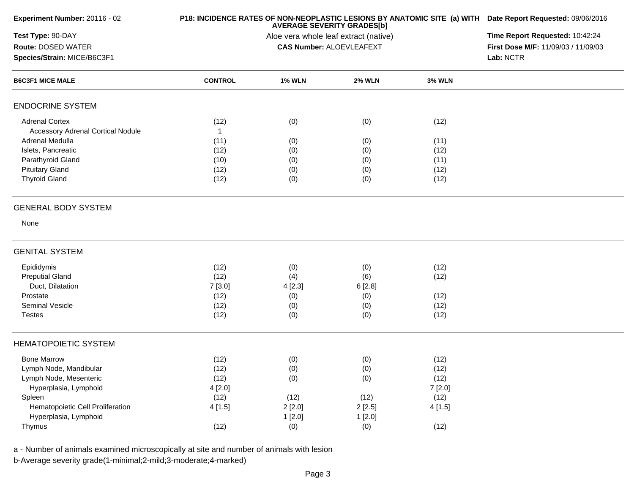| Experiment Number: 20116 - 02            |                | P18: INCIDENCE RATES OF NON-NEOPLASTIC LESIONS BY ANATOMIC SITE (a) WITH Date Report Requested: 09/06/2016<br>Time Report Requested: 10:42:24 |                                 |               |                                     |
|------------------------------------------|----------------|-----------------------------------------------------------------------------------------------------------------------------------------------|---------------------------------|---------------|-------------------------------------|
| Test Type: 90-DAY                        |                |                                                                                                                                               |                                 |               |                                     |
| <b>Route: DOSED WATER</b>                |                |                                                                                                                                               | <b>CAS Number: ALOEVLEAFEXT</b> |               | First Dose M/F: 11/09/03 / 11/09/03 |
| Species/Strain: MICE/B6C3F1              |                |                                                                                                                                               |                                 |               | Lab: NCTR                           |
| <b>B6C3F1 MICE MALE</b>                  | <b>CONTROL</b> | <b>1% WLN</b>                                                                                                                                 | <b>2% WLN</b>                   | <b>3% WLN</b> |                                     |
| <b>ENDOCRINE SYSTEM</b>                  |                |                                                                                                                                               |                                 |               |                                     |
| <b>Adrenal Cortex</b>                    | (12)           | (0)                                                                                                                                           | (0)                             | (12)          |                                     |
| <b>Accessory Adrenal Cortical Nodule</b> | $\mathbf{1}$   |                                                                                                                                               |                                 |               |                                     |
| Adrenal Medulla                          | (11)           | (0)                                                                                                                                           | (0)                             | (11)          |                                     |
| Islets, Pancreatic                       | (12)           | (0)                                                                                                                                           | (0)                             | (12)          |                                     |
| Parathyroid Gland                        | (10)           | (0)                                                                                                                                           | (0)                             | (11)          |                                     |
| <b>Pituitary Gland</b>                   | (12)           | (0)                                                                                                                                           | (0)                             | (12)          |                                     |
| <b>Thyroid Gland</b>                     | (12)           | (0)                                                                                                                                           | (0)                             | (12)          |                                     |
| <b>GENERAL BODY SYSTEM</b>               |                |                                                                                                                                               |                                 |               |                                     |
| None                                     |                |                                                                                                                                               |                                 |               |                                     |
| <b>GENITAL SYSTEM</b>                    |                |                                                                                                                                               |                                 |               |                                     |
| Epididymis                               | (12)           | (0)                                                                                                                                           | (0)                             | (12)          |                                     |
| <b>Preputial Gland</b>                   | (12)           | (4)                                                                                                                                           | (6)                             | (12)          |                                     |
| Duct, Dilatation                         | 7[3.0]         | 4[2.3]                                                                                                                                        | 6[2.8]                          |               |                                     |
| Prostate                                 | (12)           | (0)                                                                                                                                           | (0)                             | (12)          |                                     |
| <b>Seminal Vesicle</b>                   | (12)           | (0)                                                                                                                                           | (0)                             | (12)          |                                     |
| <b>Testes</b>                            | (12)           | (0)                                                                                                                                           | (0)                             | (12)          |                                     |
| <b>HEMATOPOIETIC SYSTEM</b>              |                |                                                                                                                                               |                                 |               |                                     |
| <b>Bone Marrow</b>                       | (12)           | (0)                                                                                                                                           | (0)                             | (12)          |                                     |
| Lymph Node, Mandibular                   | (12)           | (0)                                                                                                                                           | (0)                             | (12)          |                                     |
| Lymph Node, Mesenteric                   | (12)           | (0)                                                                                                                                           | (0)                             | (12)          |                                     |
| Hyperplasia, Lymphoid                    | 4[2.0]         |                                                                                                                                               |                                 | 7[2.0]        |                                     |
| Spleen                                   | (12)           | (12)                                                                                                                                          | (12)                            | (12)          |                                     |
| Hematopoietic Cell Proliferation         | 4[1.5]         | 2[2.0]                                                                                                                                        | 2[2.5]                          | 4[1.5]        |                                     |
| Hyperplasia, Lymphoid                    |                | 1[2.0]                                                                                                                                        | 1[2.0]                          |               |                                     |
| Thymus                                   | (12)           | (0)                                                                                                                                           | (0)                             | (12)          |                                     |
|                                          |                |                                                                                                                                               |                                 |               |                                     |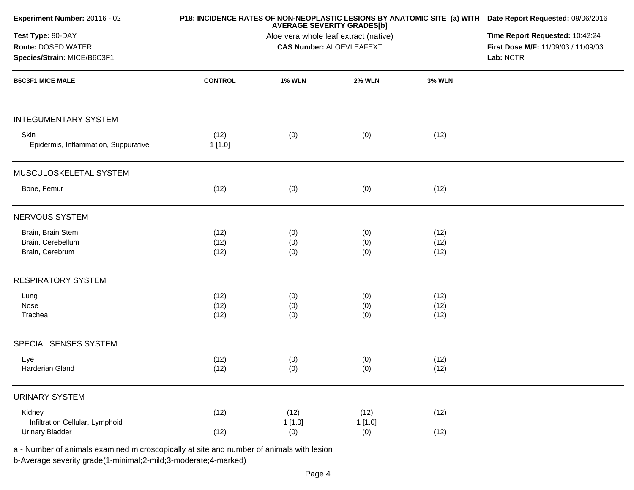| Experiment Number: 20116 - 02                |                | P18: INCIDENCE RATES OF NON-NEOPLASTIC LESIONS BY ANATOMIC SITE (a) WITH Date Report Requested: 09/06/2016<br><b>AVERAGE SEVERITY GRADES[b]</b><br>Aloe vera whole leaf extract (native) |                                 |               |                                     |  |
|----------------------------------------------|----------------|------------------------------------------------------------------------------------------------------------------------------------------------------------------------------------------|---------------------------------|---------------|-------------------------------------|--|
| Test Type: 90-DAY                            |                |                                                                                                                                                                                          |                                 |               |                                     |  |
| Route: DOSED WATER                           |                |                                                                                                                                                                                          | <b>CAS Number: ALOEVLEAFEXT</b> |               | First Dose M/F: 11/09/03 / 11/09/03 |  |
| Species/Strain: MICE/B6C3F1                  |                |                                                                                                                                                                                          |                                 |               | Lab: NCTR                           |  |
| <b>B6C3F1 MICE MALE</b>                      | <b>CONTROL</b> | <b>1% WLN</b>                                                                                                                                                                            | <b>2% WLN</b>                   | <b>3% WLN</b> |                                     |  |
| <b>INTEGUMENTARY SYSTEM</b>                  |                |                                                                                                                                                                                          |                                 |               |                                     |  |
| Skin<br>Epidermis, Inflammation, Suppurative | (12)<br>1[1.0] | (0)                                                                                                                                                                                      | (0)                             | (12)          |                                     |  |
| MUSCULOSKELETAL SYSTEM                       |                |                                                                                                                                                                                          |                                 |               |                                     |  |
| Bone, Femur                                  | (12)           | (0)                                                                                                                                                                                      | (0)                             | (12)          |                                     |  |
| NERVOUS SYSTEM                               |                |                                                                                                                                                                                          |                                 |               |                                     |  |
| Brain, Brain Stem                            | (12)           | (0)                                                                                                                                                                                      | (0)                             | (12)          |                                     |  |
| Brain, Cerebellum                            | (12)           | (0)                                                                                                                                                                                      | (0)                             | (12)          |                                     |  |
| Brain, Cerebrum                              | (12)           | (0)                                                                                                                                                                                      | (0)                             | (12)          |                                     |  |
| <b>RESPIRATORY SYSTEM</b>                    |                |                                                                                                                                                                                          |                                 |               |                                     |  |
| Lung                                         | (12)           | (0)                                                                                                                                                                                      | (0)                             | (12)          |                                     |  |
| Nose                                         | (12)           | (0)                                                                                                                                                                                      | (0)                             | (12)          |                                     |  |
| Trachea                                      | (12)           | (0)                                                                                                                                                                                      | (0)                             | (12)          |                                     |  |
| SPECIAL SENSES SYSTEM                        |                |                                                                                                                                                                                          |                                 |               |                                     |  |
| Eye                                          | (12)           | (0)                                                                                                                                                                                      | (0)                             | (12)          |                                     |  |
| Harderian Gland                              | (12)           | (0)                                                                                                                                                                                      | (0)                             | (12)          |                                     |  |
| <b>URINARY SYSTEM</b>                        |                |                                                                                                                                                                                          |                                 |               |                                     |  |
| Kidney                                       | (12)           | (12)                                                                                                                                                                                     | (12)                            | (12)          |                                     |  |
| Infiltration Cellular, Lymphoid              |                | 1[1.0]                                                                                                                                                                                   | 1[1.0]                          |               |                                     |  |
| <b>Urinary Bladder</b>                       | (12)           | (0)                                                                                                                                                                                      | (0)                             | (12)          |                                     |  |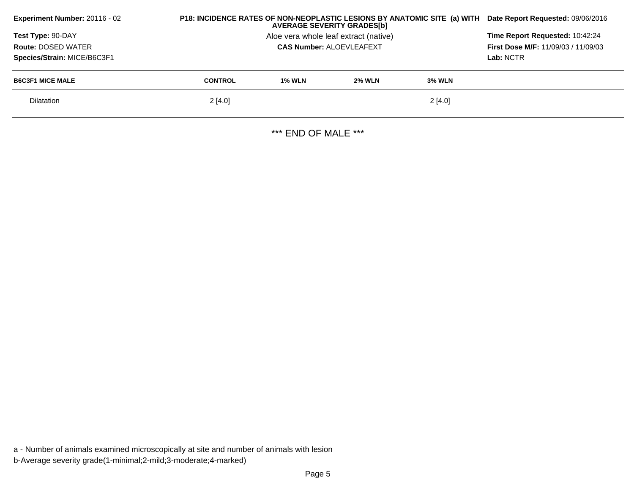| Experiment Number: 20116 - 02                                                 | P18: INCIDENCE RATES OF NON-NEOPLASTIC LESIONS BY ANATOMIC SITE (a) WITH<br>Date Report Requested: 09/06/2016 |                                                                                            |               |               |  |
|-------------------------------------------------------------------------------|---------------------------------------------------------------------------------------------------------------|--------------------------------------------------------------------------------------------|---------------|---------------|--|
| Test Type: 90-DAY<br><b>Route: DOSED WATER</b><br>Species/Strain: MICE/B6C3F1 |                                                                                                               | Time Report Requested: 10:42:24<br><b>First Dose M/F: 11/09/03 / 11/09/03</b><br>Lab: NCTR |               |               |  |
| <b>B6C3F1 MICE MALE</b>                                                       | <b>CONTROL</b>                                                                                                | <b>1% WLN</b>                                                                              | <b>2% WLN</b> | <b>3% WLN</b> |  |
| <b>Dilatation</b>                                                             | 2[4.0]                                                                                                        |                                                                                            |               | 2[4.0]        |  |
|                                                                               |                                                                                                               |                                                                                            |               |               |  |

\*\*\* END OF MALE \*\*\*

a - Number of animals examined microscopically at site and number of animals with lesionb-Average severity grade(1-minimal;2-mild;3-moderate;4-marked)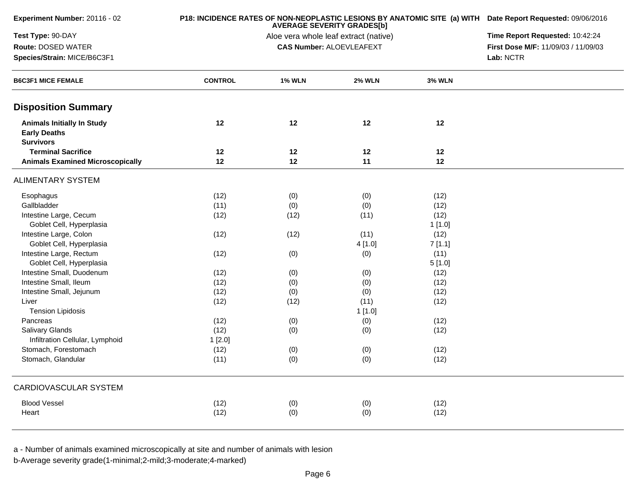| Experiment Number: 20116 - 02                                                |                | P18: INCIDENCE RATES OF NON-NEOPLASTIC LESIONS BY ANATOMIC SITE (a) WITH Date Report Requested: 09/06/2016<br><b>AVERAGE SEVERITY GRADES[b]</b> |                                 |               |                                     |  |
|------------------------------------------------------------------------------|----------------|-------------------------------------------------------------------------------------------------------------------------------------------------|---------------------------------|---------------|-------------------------------------|--|
| Test Type: 90-DAY                                                            |                | Aloe vera whole leaf extract (native)                                                                                                           | Time Report Requested: 10:42:24 |               |                                     |  |
| Route: DOSED WATER                                                           |                |                                                                                                                                                 | <b>CAS Number: ALOEVLEAFEXT</b> |               | First Dose M/F: 11/09/03 / 11/09/03 |  |
| Species/Strain: MICE/B6C3F1                                                  |                |                                                                                                                                                 |                                 | Lab: NCTR     |                                     |  |
| <b>B6C3F1 MICE FEMALE</b>                                                    | <b>CONTROL</b> | <b>1% WLN</b>                                                                                                                                   | <b>2% WLN</b>                   | <b>3% WLN</b> |                                     |  |
| <b>Disposition Summary</b>                                                   |                |                                                                                                                                                 |                                 |               |                                     |  |
| <b>Animals Initially In Study</b><br><b>Early Deaths</b><br><b>Survivors</b> | 12             | 12                                                                                                                                              | 12                              | 12            |                                     |  |
| <b>Terminal Sacrifice</b>                                                    | 12             | 12                                                                                                                                              | 12                              | 12            |                                     |  |
| <b>Animals Examined Microscopically</b>                                      | 12             | 12                                                                                                                                              | 11                              | 12            |                                     |  |
| <b>ALIMENTARY SYSTEM</b>                                                     |                |                                                                                                                                                 |                                 |               |                                     |  |
| Esophagus                                                                    | (12)           | (0)                                                                                                                                             | (0)                             | (12)          |                                     |  |
| Gallbladder                                                                  | (11)           | (0)                                                                                                                                             | (0)                             | (12)          |                                     |  |
| Intestine Large, Cecum                                                       | (12)           | (12)                                                                                                                                            | (11)                            | (12)          |                                     |  |
| Goblet Cell, Hyperplasia                                                     |                |                                                                                                                                                 |                                 | 1[1.0]        |                                     |  |
| Intestine Large, Colon                                                       | (12)           | (12)                                                                                                                                            | (11)                            | (12)          |                                     |  |
| Goblet Cell, Hyperplasia                                                     |                |                                                                                                                                                 | 4[1.0]                          | 7[1.1]        |                                     |  |
| Intestine Large, Rectum                                                      | (12)           | (0)                                                                                                                                             | (0)                             | (11)          |                                     |  |
| Goblet Cell, Hyperplasia                                                     |                |                                                                                                                                                 |                                 | 5[1.0]        |                                     |  |
| Intestine Small, Duodenum                                                    | (12)           | (0)                                                                                                                                             | (0)                             | (12)          |                                     |  |
| Intestine Small, Ileum                                                       | (12)           | (0)                                                                                                                                             | (0)                             | (12)          |                                     |  |
| Intestine Small, Jejunum                                                     | (12)           | (0)                                                                                                                                             | (0)                             | (12)          |                                     |  |
| Liver                                                                        | (12)           | (12)                                                                                                                                            | (11)                            | (12)          |                                     |  |
| <b>Tension Lipidosis</b>                                                     |                |                                                                                                                                                 | 1[1.0]                          |               |                                     |  |
| Pancreas                                                                     | (12)           | (0)                                                                                                                                             | (0)                             | (12)          |                                     |  |
| <b>Salivary Glands</b>                                                       | (12)           | (0)                                                                                                                                             | (0)                             | (12)          |                                     |  |
| Infiltration Cellular, Lymphoid                                              | 1[2.0]         |                                                                                                                                                 |                                 |               |                                     |  |
| Stomach, Forestomach                                                         | (12)           | (0)                                                                                                                                             | (0)                             | (12)          |                                     |  |
| Stomach, Glandular                                                           | (11)           | (0)                                                                                                                                             | (0)                             | (12)          |                                     |  |
| CARDIOVASCULAR SYSTEM                                                        |                |                                                                                                                                                 |                                 |               |                                     |  |
| <b>Blood Vessel</b>                                                          | (12)           | (0)                                                                                                                                             | (0)                             | (12)          |                                     |  |
| Heart                                                                        | (12)           | (0)                                                                                                                                             | (0)                             | (12)          |                                     |  |
|                                                                              |                |                                                                                                                                                 |                                 |               |                                     |  |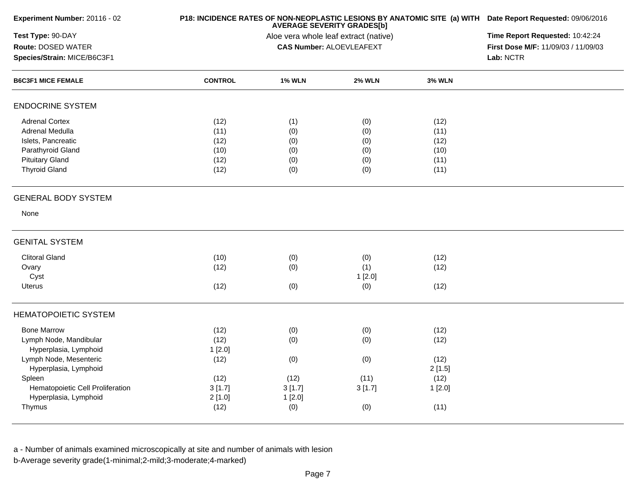| Experiment Number: 20116 - 02    |                | P18: INCIDENCE RATES OF NON-NEOPLASTIC LESIONS BY ANATOMIC SITE (a) WITH Date Report Requested: 09/06/2016<br><b>AVERAGE SEVERITY GRADES[b]</b> |                                 |               |                                     |  |
|----------------------------------|----------------|-------------------------------------------------------------------------------------------------------------------------------------------------|---------------------------------|---------------|-------------------------------------|--|
| Test Type: 90-DAY                |                | Time Report Requested: 10:42:24                                                                                                                 |                                 |               |                                     |  |
| Route: DOSED WATER               |                |                                                                                                                                                 | <b>CAS Number: ALOEVLEAFEXT</b> |               | First Dose M/F: 11/09/03 / 11/09/03 |  |
| Species/Strain: MICE/B6C3F1      |                |                                                                                                                                                 |                                 |               | Lab: NCTR                           |  |
| <b>B6C3F1 MICE FEMALE</b>        | <b>CONTROL</b> | <b>1% WLN</b>                                                                                                                                   | <b>2% WLN</b>                   | <b>3% WLN</b> |                                     |  |
| <b>ENDOCRINE SYSTEM</b>          |                |                                                                                                                                                 |                                 |               |                                     |  |
| <b>Adrenal Cortex</b>            | (12)           | (1)                                                                                                                                             | (0)                             | (12)          |                                     |  |
| Adrenal Medulla                  | (11)           | (0)                                                                                                                                             | (0)                             | (11)          |                                     |  |
| Islets, Pancreatic               | (12)           | (0)                                                                                                                                             | (0)                             | (12)          |                                     |  |
| Parathyroid Gland                | (10)           | (0)                                                                                                                                             | (0)                             | (10)          |                                     |  |
| <b>Pituitary Gland</b>           | (12)           | (0)                                                                                                                                             | (0)                             | (11)          |                                     |  |
| <b>Thyroid Gland</b>             | (12)           | (0)                                                                                                                                             | (0)                             | (11)          |                                     |  |
| <b>GENERAL BODY SYSTEM</b>       |                |                                                                                                                                                 |                                 |               |                                     |  |
| None                             |                |                                                                                                                                                 |                                 |               |                                     |  |
| <b>GENITAL SYSTEM</b>            |                |                                                                                                                                                 |                                 |               |                                     |  |
| <b>Clitoral Gland</b>            | (10)           | (0)                                                                                                                                             | (0)                             | (12)          |                                     |  |
| Ovary                            | (12)           | (0)                                                                                                                                             | (1)                             | (12)          |                                     |  |
| Cyst                             |                |                                                                                                                                                 | 1[2.0]                          |               |                                     |  |
| <b>Uterus</b>                    | (12)           | (0)                                                                                                                                             | (0)                             | (12)          |                                     |  |
| <b>HEMATOPOIETIC SYSTEM</b>      |                |                                                                                                                                                 |                                 |               |                                     |  |
| <b>Bone Marrow</b>               | (12)           | (0)                                                                                                                                             | (0)                             | (12)          |                                     |  |
| Lymph Node, Mandibular           | (12)           | (0)                                                                                                                                             | (0)                             | (12)          |                                     |  |
| Hyperplasia, Lymphoid            | 1[2.0]         |                                                                                                                                                 |                                 |               |                                     |  |
| Lymph Node, Mesenteric           | (12)           | (0)                                                                                                                                             | (0)                             | (12)          |                                     |  |
| Hyperplasia, Lymphoid            |                |                                                                                                                                                 |                                 | 2[1.5]        |                                     |  |
| Spleen                           | (12)           | (12)                                                                                                                                            | (11)                            | (12)          |                                     |  |
| Hematopoietic Cell Proliferation | 3[1.7]         | 3[1.7]                                                                                                                                          | 3[1.7]                          | 1[2.0]        |                                     |  |
| Hyperplasia, Lymphoid            | 2[1.0]         | 1[2.0]                                                                                                                                          |                                 |               |                                     |  |
| Thymus                           | (12)           | (0)                                                                                                                                             | (0)                             | (11)          |                                     |  |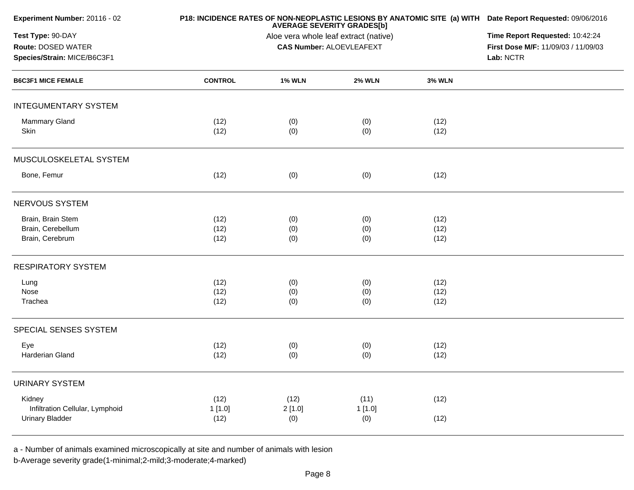| Experiment Number: 20116 - 02   |                | P18: INCIDENCE RATES OF NON-NEOPLASTIC LESIONS BY ANATOMIC SITE (a) WITH Date Report Requested: 09/06/2016<br><b>AVERAGE SEVERITY GRADES[b]</b> |                                 |               |                                     |  |  |
|---------------------------------|----------------|-------------------------------------------------------------------------------------------------------------------------------------------------|---------------------------------|---------------|-------------------------------------|--|--|
| Test Type: 90-DAY               |                | Time Report Requested: 10:42:24                                                                                                                 |                                 |               |                                     |  |  |
| Route: DOSED WATER              |                |                                                                                                                                                 | <b>CAS Number: ALOEVLEAFEXT</b> |               | First Dose M/F: 11/09/03 / 11/09/03 |  |  |
| Species/Strain: MICE/B6C3F1     |                |                                                                                                                                                 |                                 |               | Lab: NCTR                           |  |  |
| <b>B6C3F1 MICE FEMALE</b>       | <b>CONTROL</b> | <b>1% WLN</b>                                                                                                                                   | <b>2% WLN</b>                   | <b>3% WLN</b> |                                     |  |  |
| <b>INTEGUMENTARY SYSTEM</b>     |                |                                                                                                                                                 |                                 |               |                                     |  |  |
| <b>Mammary Gland</b>            | (12)           | (0)                                                                                                                                             | (0)                             | (12)          |                                     |  |  |
| Skin                            | (12)           | (0)                                                                                                                                             | (0)                             | (12)          |                                     |  |  |
| MUSCULOSKELETAL SYSTEM          |                |                                                                                                                                                 |                                 |               |                                     |  |  |
| Bone, Femur                     | (12)           | (0)                                                                                                                                             | (0)                             | (12)          |                                     |  |  |
| NERVOUS SYSTEM                  |                |                                                                                                                                                 |                                 |               |                                     |  |  |
| Brain, Brain Stem               | (12)           | (0)                                                                                                                                             | (0)                             | (12)          |                                     |  |  |
| Brain, Cerebellum               | (12)           | (0)                                                                                                                                             | (0)                             | (12)          |                                     |  |  |
| Brain, Cerebrum                 | (12)           | (0)                                                                                                                                             | (0)                             | (12)          |                                     |  |  |
| <b>RESPIRATORY SYSTEM</b>       |                |                                                                                                                                                 |                                 |               |                                     |  |  |
| Lung                            | (12)           | (0)                                                                                                                                             | (0)                             | (12)          |                                     |  |  |
| Nose                            | (12)           | (0)                                                                                                                                             | (0)                             | (12)          |                                     |  |  |
| Trachea                         | (12)           | (0)                                                                                                                                             | (0)                             | (12)          |                                     |  |  |
| SPECIAL SENSES SYSTEM           |                |                                                                                                                                                 |                                 |               |                                     |  |  |
| Eye                             | (12)           | (0)                                                                                                                                             | (0)                             | (12)          |                                     |  |  |
| Harderian Gland                 | (12)           | (0)                                                                                                                                             | (0)                             | (12)          |                                     |  |  |
| <b>URINARY SYSTEM</b>           |                |                                                                                                                                                 |                                 |               |                                     |  |  |
| Kidney                          | (12)           | (12)                                                                                                                                            | (11)                            | (12)          |                                     |  |  |
| Infiltration Cellular, Lymphoid | 1[1.0]         | 2[1.0]                                                                                                                                          | 1[1.0]                          |               |                                     |  |  |
| <b>Urinary Bladder</b>          | (12)           | (0)                                                                                                                                             | (0)                             | (12)          |                                     |  |  |